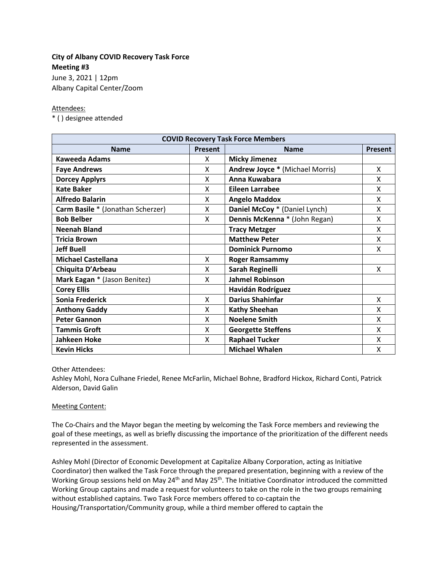# **City of Albany COVID Recovery Task Force Meeting #3**

June 3, 2021 | 12pm Albany Capital Center/Zoom

### Attendees:

\* ( ) designee attended

| <b>COVID Recovery Task Force Members</b> |                |                                        |                |
|------------------------------------------|----------------|----------------------------------------|----------------|
| <b>Name</b>                              | <b>Present</b> | <b>Name</b>                            | <b>Present</b> |
| Kaweeda Adams                            | X              | <b>Micky Jimenez</b>                   |                |
| <b>Faye Andrews</b>                      | X              | <b>Andrew Joyce * (Michael Morris)</b> | x              |
| <b>Dorcey Applyrs</b>                    | X              | Anna Kuwabara                          | Χ              |
| <b>Kate Baker</b>                        | X              | Eileen Larrabee                        | x              |
| <b>Alfredo Balarin</b>                   | X              | <b>Angelo Maddox</b>                   | X              |
| Carm Basile * (Jonathan Scherzer)        | X              | Daniel McCoy * (Daniel Lynch)          | X              |
| <b>Bob Belber</b>                        | X              | Dennis McKenna * (John Regan)          | X              |
| <b>Neenah Bland</b>                      |                | <b>Tracy Metzger</b>                   | Χ              |
| <b>Tricia Brown</b>                      |                | <b>Matthew Peter</b>                   | x              |
| <b>Jeff Buell</b>                        |                | <b>Dominick Purnomo</b>                | X              |
| <b>Michael Castellana</b>                | X              | <b>Roger Ramsammy</b>                  |                |
| Chiquita D'Arbeau                        | X              | Sarah Reginelli                        | X              |
| Mark Eagan * (Jason Benitez)             | X              | <b>Jahmel Robinson</b>                 |                |
| <b>Corey Ellis</b>                       |                | Havidán Rodríguez                      |                |
| Sonia Frederick                          | X              | <b>Darius Shahinfar</b>                | X              |
| <b>Anthony Gaddy</b>                     | X              | <b>Kathy Sheehan</b>                   | X              |
| <b>Peter Gannon</b>                      | X              | <b>Noelene Smith</b>                   | Χ              |
| <b>Tammis Groft</b>                      | X              | <b>Georgette Steffens</b>              | X              |
| <b>Jahkeen Hoke</b>                      | X              | <b>Raphael Tucker</b>                  | χ              |
| <b>Kevin Hicks</b>                       |                | <b>Michael Whalen</b>                  | Χ              |

Other Attendees:

Ashley Mohl, Nora Culhane Friedel, Renee McFarlin, Michael Bohne, Bradford Hickox, Richard Conti, Patrick Alderson, David Galin

## Meeting Content:

The Co-Chairs and the Mayor began the meeting by welcoming the Task Force members and reviewing the goal of these meetings, as well as briefly discussing the importance of the prioritization of the different needs represented in the assessment.

Ashley Mohl (Director of Economic Development at Capitalize Albany Corporation, acting as Initiative Coordinator) then walked the Task Force through the prepared presentation, beginning with a review of the Working Group sessions held on May 24<sup>th</sup> and May 25<sup>th</sup>. The Initiative Coordinator introduced the committed Working Group captains and made a request for volunteers to take on the role in the two groups remaining without established captains. Two Task Force members offered to co-captain the Housing/Transportation/Community group, while a third member offered to captain the